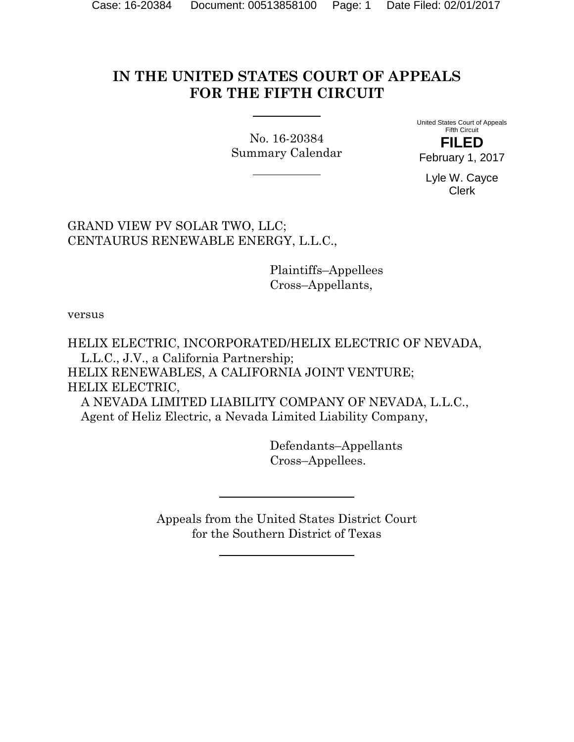# **IN THE UNITED STATES COURT OF APPEALS FOR THE FIFTH CIRCUIT**

No. 16-20384 Summary Calendar United States Court of Appeals Fifth Circuit **FILED**

February 1, 2017

Lyle W. Cayce Clerk

GRAND VIEW PV SOLAR TWO, LLC; CENTAURUS RENEWABLE ENERGY, L.L.C.,

> Plaintiffs–Appellees Cross–Appellants,

versus

HELIX ELECTRIC, INCORPORATED/HELIX ELECTRIC OF NEVADA, L.L.C., J.V., a California Partnership; HELIX RENEWABLES, A CALIFORNIA JOINT VENTURE; HELIX ELECTRIC, A NEVADA LIMITED LIABILITY COMPANY OF NEVADA, L.L.C.,

Agent of Heliz Electric, a Nevada Limited Liability Company,

 Defendants–Appellants Cross–Appellees.

Appeals from the United States District Court for the Southern District of Texas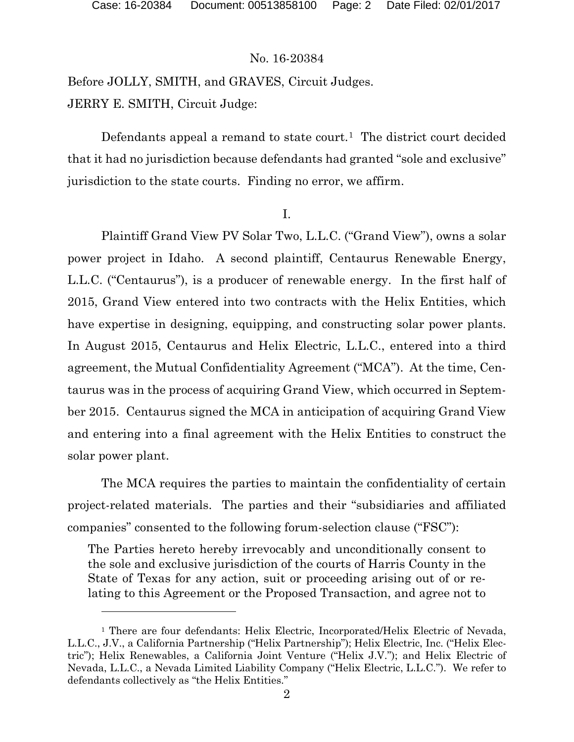l

## No. 16-20384

Before JOLLY, SMITH, and GRAVES, Circuit Judges. JERRY E. SMITH, Circuit Judge:

Defendants appeal a remand to state court.<sup>1</sup> The district court decided that it had no jurisdiction because defendants had granted "sole and exclusive" jurisdiction to the state courts. Finding no error, we affirm.

I.

Plaintiff Grand View PV Solar Two, L.L.C. ("Grand View"), owns a solar power project in Idaho. A second plaintiff, Centaurus Renewable Energy, L.L.C. ("Centaurus"), is a producer of renewable energy. In the first half of 2015, Grand View entered into two contracts with the Helix Entities, which have expertise in designing, equipping, and constructing solar power plants. In August 2015, Centaurus and Helix Electric, L.L.C., entered into a third agreement, the Mutual Confidentiality Agreement ("MCA"). At the time, Centaurus was in the process of acquiring Grand View, which occurred in September 2015. Centaurus signed the MCA in anticipation of acquiring Grand View and entering into a final agreement with the Helix Entities to construct the solar power plant.

The MCA requires the parties to maintain the confidentiality of certain project-related materials. The parties and their "subsidiaries and affiliated companies" consented to the following forum-selection clause ("FSC"):

The Parties hereto hereby irrevocably and unconditionally consent to the sole and exclusive jurisdiction of the courts of Harris County in the State of Texas for any action, suit or proceeding arising out of or relating to this Agreement or the Proposed Transaction, and agree not to

<span id="page-1-0"></span><sup>&</sup>lt;sup>1</sup> There are four defendants: Helix Electric, Incorporated/Helix Electric of Nevada, L.L.C., J.V., a California Partnership ("Helix Partnership"); Helix Electric, Inc. ("Helix Electric"); Helix Renewables, a California Joint Venture ("Helix J.V."); and Helix Electric of Nevada, L.L.C., a Nevada Limited Liability Company ("Helix Electric, L.L.C."). We refer to defendants collectively as "the Helix Entities."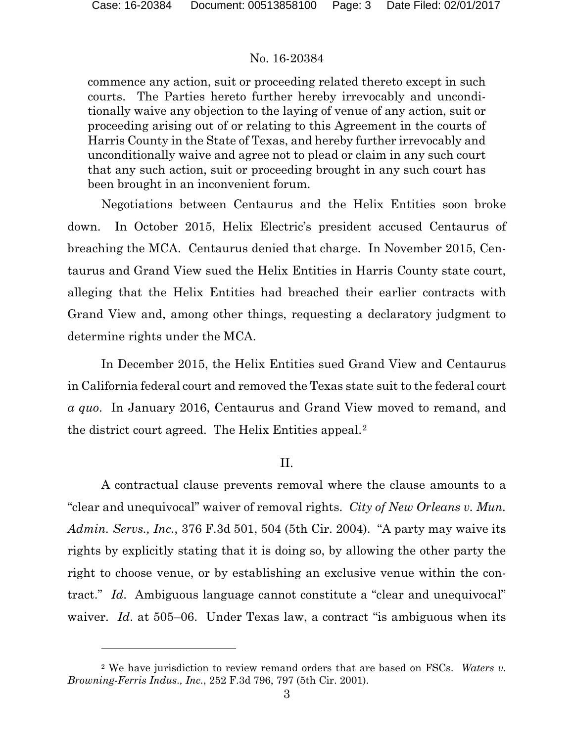l

# No. 16-20384

commence any action, suit or proceeding related thereto except in such courts. The Parties hereto further hereby irrevocably and unconditionally waive any objection to the laying of venue of any action, suit or proceeding arising out of or relating to this Agreement in the courts of Harris County in the State of Texas, and hereby further irrevocably and unconditionally waive and agree not to plead or claim in any such court that any such action, suit or proceeding brought in any such court has been brought in an inconvenient forum.

Negotiations between Centaurus and the Helix Entities soon broke down. In October 2015, Helix Electric's president accused Centaurus of breaching the MCA. Centaurus denied that charge. In November 2015, Centaurus and Grand View sued the Helix Entities in Harris County state court, alleging that the Helix Entities had breached their earlier contracts with Grand View and, among other things, requesting a declaratory judgment to determine rights under the MCA.

In December 2015, the Helix Entities sued Grand View and Centaurus in California federal court and removed the Texas state suit to the federal court *a quo*. In January 2016, Centaurus and Grand View moved to remand, and the district court agreed. The Helix Entities appeal.[2](#page-2-0)

# II.

A contractual clause prevents removal where the clause amounts to a "clear and unequivocal" waiver of removal rights. *City of New Orleans v. Mun. Admin. Servs., Inc.*, 376 F.3d 501, 504 (5th Cir. 2004). "A party may waive its rights by explicitly stating that it is doing so, by allowing the other party the right to choose venue, or by establishing an exclusive venue within the contract." *Id*. Ambiguous language cannot constitute a "clear and unequivocal" waiver. *Id.* at 505–06. Under Texas law, a contract "is ambiguous when its

<span id="page-2-0"></span><sup>2</sup> We have jurisdiction to review remand orders that are based on FSCs. *Waters v. Browning-Ferris Indus., Inc.*, 252 F.3d 796, 797 (5th Cir. 2001).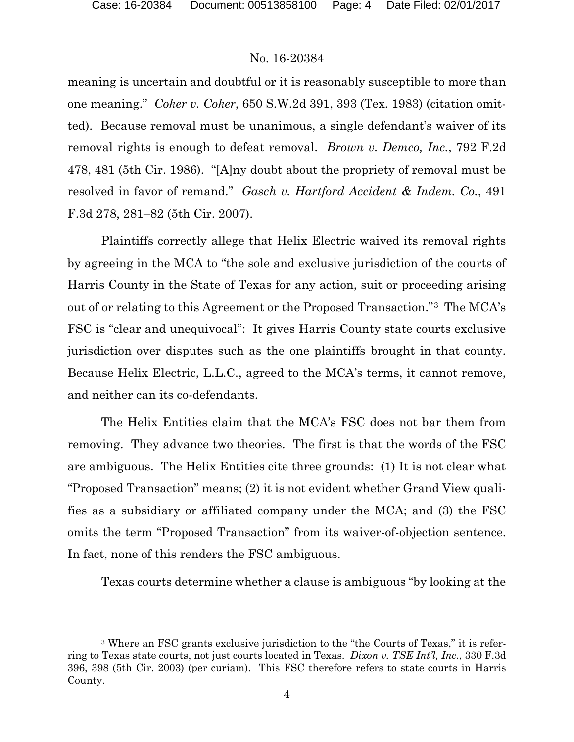$\overline{a}$ 

# No. 16-20384

meaning is uncertain and doubtful or it is reasonably susceptible to more than one meaning." *Coker v. Coker*, 650 S.W.2d 391, 393 (Tex. 1983) (citation omitted). Because removal must be unanimous, a single defendant's waiver of its removal rights is enough to defeat removal. *Brown v. Demco, Inc.*, 792 F.2d 478, 481 (5th Cir. 1986). "[A]ny doubt about the propriety of removal must be resolved in favor of remand." *Gasch v. Hartford Accident & Indem. Co.*, 491 F.3d 278, 281–82 (5th Cir. 2007).

Plaintiffs correctly allege that Helix Electric waived its removal rights by agreeing in the MCA to "the sole and exclusive jurisdiction of the courts of Harris County in the State of Texas for any action, suit or proceeding arising out of or relating to this Agreement or the Proposed Transaction."[3](#page-3-0) The MCA's FSC is "clear and unequivocal": It gives Harris County state courts exclusive jurisdiction over disputes such as the one plaintiffs brought in that county. Because Helix Electric, L.L.C., agreed to the MCA's terms, it cannot remove, and neither can its co-defendants.

The Helix Entities claim that the MCA's FSC does not bar them from removing. They advance two theories. The first is that the words of the FSC are ambiguous. The Helix Entities cite three grounds: (1) It is not clear what "Proposed Transaction" means; (2) it is not evident whether Grand View qualifies as a subsidiary or affiliated company under the MCA; and (3) the FSC omits the term "Proposed Transaction" from its waiver-of-objection sentence. In fact, none of this renders the FSC ambiguous.

Texas courts determine whether a clause is ambiguous "by looking at the

<span id="page-3-0"></span><sup>3</sup> Where an FSC grants exclusive jurisdiction to the "the Courts of Texas," it is referring to Texas state courts, not just courts located in Texas. *Dixon v. TSE Int'l, Inc.*, 330 F.3d 396, 398 (5th Cir. 2003) (per curiam). This FSC therefore refers to state courts in Harris County.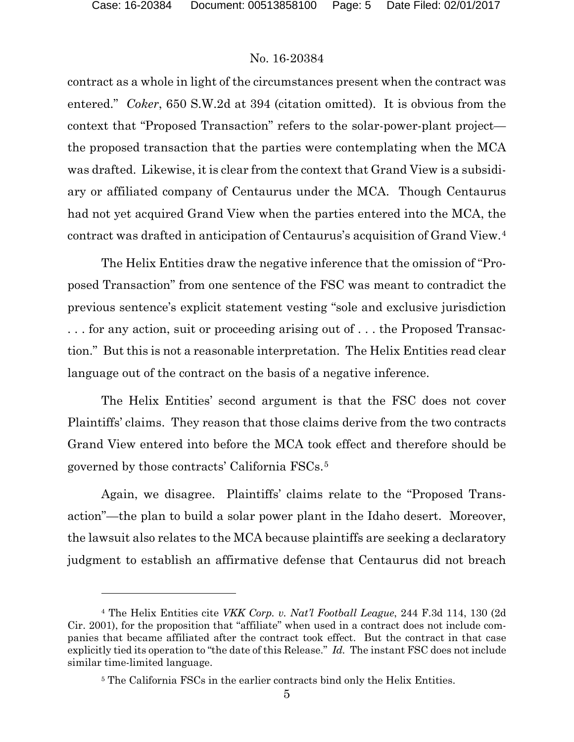$\overline{a}$ 

## No. 16-20384

contract as a whole in light of the circumstances present when the contract was entered." *Coker*, 650 S.W.2d at 394 (citation omitted). It is obvious from the context that "Proposed Transaction" refers to the solar-power-plant project the proposed transaction that the parties were contemplating when the MCA was drafted. Likewise, it is clear from the context that Grand View is a subsidiary or affiliated company of Centaurus under the MCA. Though Centaurus had not yet acquired Grand View when the parties entered into the MCA, the contract was drafted in anticipation of Centaurus's acquisition of Grand View.[4](#page-4-0)

The Helix Entities draw the negative inference that the omission of "Proposed Transaction" from one sentence of the FSC was meant to contradict the previous sentence's explicit statement vesting "sole and exclusive jurisdiction . . . for any action, suit or proceeding arising out of . . . the Proposed Transaction." But this is not a reasonable interpretation. The Helix Entities read clear language out of the contract on the basis of a negative inference.

The Helix Entities' second argument is that the FSC does not cover Plaintiffs' claims. They reason that those claims derive from the two contracts Grand View entered into before the MCA took effect and therefore should be governed by those contracts' California FSCs.[5](#page-4-1)

Again, we disagree. Plaintiffs' claims relate to the "Proposed Transaction"—the plan to build a solar power plant in the Idaho desert. Moreover, the lawsuit also relates to the MCA because plaintiffs are seeking a declaratory judgment to establish an affirmative defense that Centaurus did not breach

<span id="page-4-1"></span><span id="page-4-0"></span><sup>4</sup> The Helix Entities cite *VKK Corp. v. Nat'l Football League*, 244 F.3d 114, 130 (2d Cir. 2001), for the proposition that "affiliate" when used in a contract does not include companies that became affiliated after the contract took effect. But the contract in that case explicitly tied its operation to "the date of this Release." *Id.* The instant FSC does not include similar time-limited language.

<sup>&</sup>lt;sup>5</sup> The California FSCs in the earlier contracts bind only the Helix Entities.